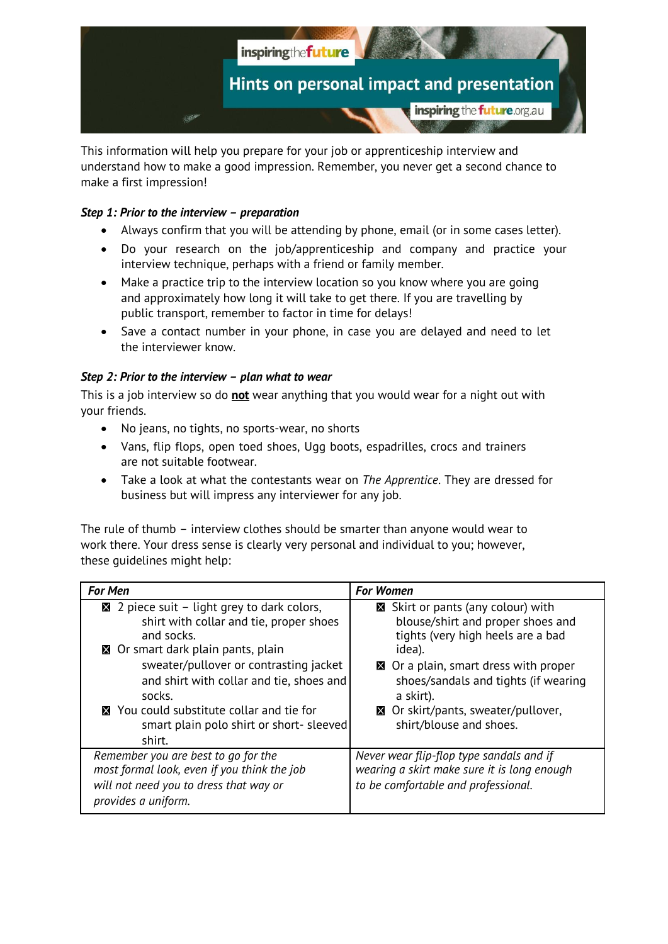

This information will help you prepare for your job or apprenticeship interview and understand how to make a good impression. Remember, you never get a second chance to make a first impression!

# *Step 1: Prior to the interview – preparation*

- Always confirm that you will be attending by phone, email (or in some cases letter).
- Do your research on the job/apprenticeship and company and practice your interview technique, perhaps with a friend or family member.
- Make a practice trip to the interview location so you know where you are going and approximately how long it will take to get there. If you are travelling by public transport, remember to factor in time for delays!
- Save a contact number in your phone, in case you are delayed and need to let the interviewer know.

## *Step 2: Prior to the interview – plan what to wear*

This is a job interview so do **not** wear anything that you would wear for a night out with your friends.

- No jeans, no tights, no sports-wear, no shorts
- Vans, flip flops, open toed shoes, Ugg boots, espadrilles, crocs and trainers are not suitable footwear.
- Take a look at what the contestants wear on *The Apprentice*. They are dressed for business but will impress any interviewer for any job.

The rule of thumb – interview clothes should be smarter than anyone would wear to work there. Your dress sense is clearly very personal and individual to you; however, these guidelines might help:

| <b>For Men</b>                                                                                                                                                                                                                           | <b>For Women</b>                                                                                                                                                                                                            |
|------------------------------------------------------------------------------------------------------------------------------------------------------------------------------------------------------------------------------------------|-----------------------------------------------------------------------------------------------------------------------------------------------------------------------------------------------------------------------------|
| 2 piece suit – light grey to dark colors,<br>shirt with collar and tie, proper shoes<br>and socks.<br>⊠ Or smart dark plain pants, plain<br>sweater/pullover or contrasting jacket<br>and shirt with collar and tie, shoes and<br>socks. | Solicity Skirt or pants (any colour) with<br>blouse/shirt and proper shoes and<br>tights (very high heels are a bad<br>idea).<br>⊠ Or a plain, smart dress with proper<br>shoes/sandals and tights (if wearing<br>a skirt). |
| ■ You could substitute collar and tie for<br>smart plain polo shirt or short-sleeved<br>shirt.                                                                                                                                           | ⊠ Or skirt/pants, sweater/pullover,<br>shirt/blouse and shoes.                                                                                                                                                              |
| Remember you are best to go for the<br>most formal look, even if you think the job<br>will not need you to dress that way or<br>provides a uniform.                                                                                      | Never wear flip-flop type sandals and if<br>wearing a skirt make sure it is long enough<br>to be comfortable and professional.                                                                                              |